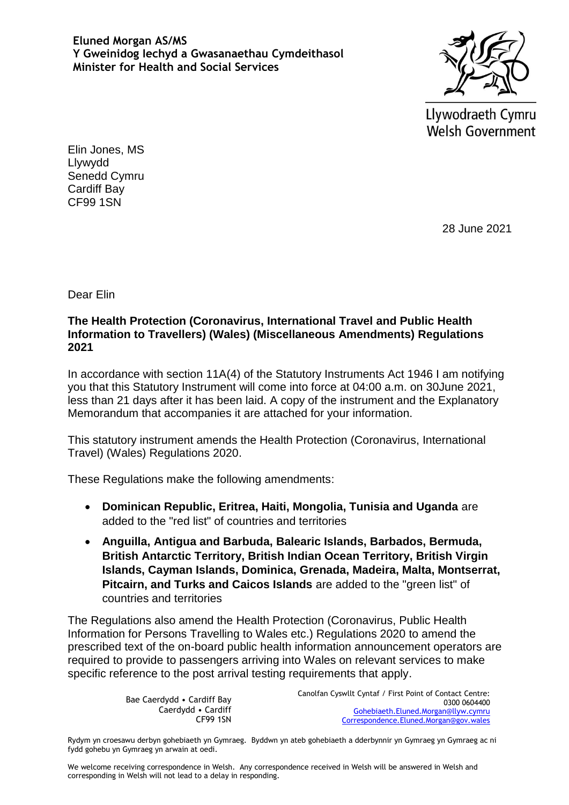**Eluned Morgan AS/MS Y Gweinidog Iechyd a Gwasanaethau Cymdeithasol Minister for Health and Social Services**



Llywodraeth Cymru **Welsh Government** 

Elin Jones, MS Llywydd Senedd Cymru Cardiff Bay CF99 1SN

28 June 2021

Dear Elin

## **The Health Protection (Coronavirus, International Travel and Public Health Information to Travellers) (Wales) (Miscellaneous Amendments) Regulations 2021**

In accordance with section 11A(4) of the Statutory Instruments Act 1946 I am notifying you that this Statutory Instrument will come into force at 04:00 a.m. on 30June 2021, less than 21 days after it has been laid. A copy of the instrument and the Explanatory Memorandum that accompanies it are attached for your information.

This statutory instrument amends the Health Protection (Coronavirus, International Travel) (Wales) Regulations 2020.

These Regulations make the following amendments:

- **Dominican Republic, Eritrea, Haiti, Mongolia, Tunisia and Uganda** are added to the "red list" of countries and territories
- **Anguilla, Antigua and Barbuda, Balearic Islands, Barbados, Bermuda, British Antarctic Territory, British Indian Ocean Territory, British Virgin Islands, Cayman Islands, Dominica, Grenada, Madeira, Malta, Montserrat, Pitcairn, and Turks and Caicos Islands** are added to the "green list" of countries and territories

The Regulations also amend the Health Protection (Coronavirus, Public Health Information for Persons Travelling to Wales etc.) Regulations 2020 to amend the prescribed text of the on-board public health information announcement operators are required to provide to passengers arriving into Wales on relevant services to make specific reference to the post arrival testing requirements that apply.

> Bae Caerdydd • Cardiff Bay Caerdydd • Cardiff CF99 1SN

Canolfan Cyswllt Cyntaf / First Point of Contact Centre: 0300 0604400 [Gohebiaeth.Eluned.Morgan@llyw.cymru](mailto:Gohebiaeth.Eluned.Morgan@llyw.cymru) [Correspondence.Eluned.Morgan@gov.wales](mailto:Correspondence.Eluned.Morgan@gov.wales)

Rydym yn croesawu derbyn gohebiaeth yn Gymraeg. Byddwn yn ateb gohebiaeth a dderbynnir yn Gymraeg yn Gymraeg ac ni fydd gohebu yn Gymraeg yn arwain at oedi.

We welcome receiving correspondence in Welsh. Any correspondence received in Welsh will be answered in Welsh and corresponding in Welsh will not lead to a delay in responding.